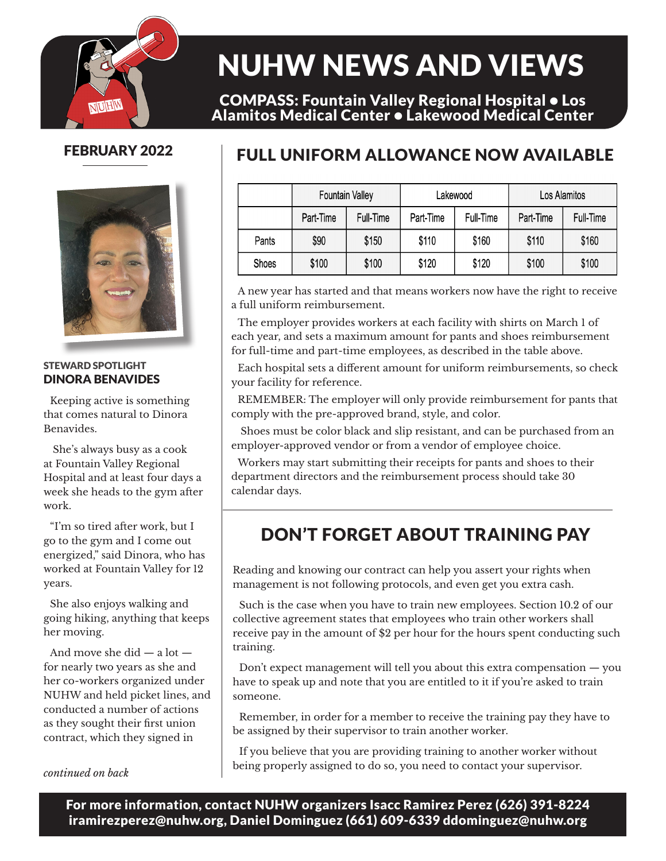

# NUHW NEWS AND VIEWS

COMPASS: Fountain Valley Regional Hospital • Los Alamitos Medical Center • Lakewood Medical Center

#### FEBRUARY 2022



#### STEWARD SPOTLIGHT DINORA BENAVIDES

Keeping active is something that comes natural to Dinora Benavides.

 She's always busy as a cook at Fountain Valley Regional Hospital and at least four days a week she heads to the gym after work.

"I'm so tired after work, but I go to the gym and I come out energized," said Dinora, who has worked at Fountain Valley for 12 years.

She also enjoys walking and going hiking, anything that keeps her moving.

And move she did — a lot for nearly two years as she and her co-workers organized under NUHW and held picket lines, and conducted a number of actions as they sought their first union contract, which they signed in

### FULL UNIFORM ALLOWANCE NOW AVAILABLE

|       | <b>Fountain Valley</b> |           | Lakewood  |           | Los Alamitos |           |
|-------|------------------------|-----------|-----------|-----------|--------------|-----------|
|       | Part-Time              | Full-Time | Part-Time | Full-Time | Part-Time    | Full-Time |
| Pants | \$90                   | \$150     | \$110     | \$160     | \$110        | \$160     |
| Shoes | \$100                  | \$100     | \$120     | \$120     | \$100        | \$100     |

A new year has started and that means workers now have the right to receive a full uniform reimbursement.

The employer provides workers at each facility with shirts on March 1 of each year, and sets a maximum amount for pants and shoes reimbursement for full-time and part-time employees, as described in the table above.

Each hospital sets a different amount for uniform reimbursements, so check your facility for reference.

REMEMBER: The employer will only provide reimbursement for pants that comply with the pre-approved brand, style, and color.

 Shoes must be color black and slip resistant, and can be purchased from an employer-approved vendor or from a vendor of employee choice.

Workers may start submitting their receipts for pants and shoes to their department directors and the reimbursement process should take 30 calendar days.

## DON'T FORGET ABOUT TRAINING PAY

Reading and knowing our contract can help you assert your rights when management is not following protocols, and even get you extra cash.

Such is the case when you have to train new employees. Section 10.2 of our collective agreement states that employees who train other workers shall receive pay in the amount of \$2 per hour for the hours spent conducting such training.

Don't expect management will tell you about this extra compensation — you have to speak up and note that you are entitled to it if you're asked to train someone.

Remember, in order for a member to receive the training pay they have to be assigned by their supervisor to train another worker.

If you believe that you are providing training to another worker without being properly assigned to do so, you need to contact your supervisor. *continued on back*

For more information, contact NUHW organizers Isacc Ramirez Perez (626) 391-8224 iramirezperez@nuhw.org, Daniel Dominguez (661) 609-6339 ddominguez@nuhw.org